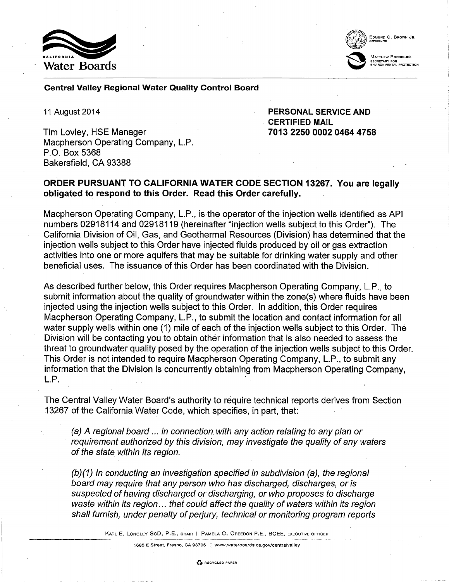



### Central Valley Regional Water Quality Control Board

11 August 2014

Tim Lovley, HSE Manager Macpherson Operating Company, L.P. P.O. Box 5368 Bakersfield, CA 93388

PERSONAL SERVICE AND CERTIFIED MAIL 7013 2250 0002 0464 4758

## ORDER PURSUANT TO CALIFORNIA WATER CODE SECTION 13267. You are legally obligated to respond to this Order. Read this Order carefully.

Macpherson Operating Company, L.P., is the operator of the injection wells identified as API numbers 02918114 and 02918119 (hereinafter "injection wells subject to this Order"). The California Division of Oil, Gas, and Geothermal Resources (Division) has determined that the injection wells subject to this Order have injected fluids produced by oil or gas extraction activities into one or more aquifers that may be suitable for drinking water supply and other beneficial uses. The issuance of this Order has been coordinated with the Division.

As described further below, this Order requires Macpherson Operating Company, L.P., to submit information about the quality of groundwater within the zone(s) where fluids have been injected using the injection wells subject to this Order. In addition, this Order requires Macpherson Operating Company, L.P., to submit the location and contact information for all water supply wells within one (1) mile of each of the injection wells subject to this Order. The Division will be contacting you to obtain other information that is also needed to assess the threat to groundwater quality posed by the operation of the injection wells subject to this Order. This Order is not intended to require Macpherson Operating Company, L.P., to submit any information that the Division is concurrently obtaining from Macpherson Operating Company,  $L.P.$ 

The Central Valley Water Board's authority to require technical reports derives from Section 13267 of the California Water Code, which specifies, in part, that:

(a) A regional board ... in connection with any action relating to any plan or requirement authorized by this division, may investigate the quality of any waters of the state within its region.

(b)(1) In conducting an investigation specified in subdivision (a), the regional board may require that any person who has discharged, discharges, or is suspected of having discharged or discharging, or who proposes to discharge waste within its region... that could affect the quality of waters within its region shall furnish, under penalty of perjury, technical or monitoring program reports

KARL E. LONGLEY SeD, P.E., CHAIR J PAMELA C. CREEDON P.E., BCEE, EXECUTIVE OFFICER ------~~-----·--

1685 E Street, Fresno, CA 93706 I www.waterboards.ca.gov/centralvalley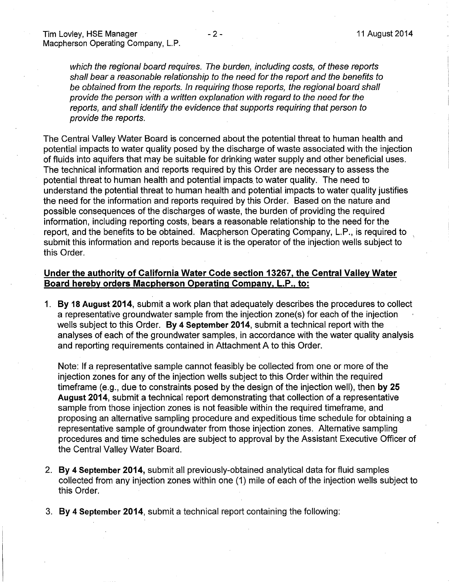which the regional board requires. The burden, including costs, of these reports shall bear a reasonable relationship to the need for the report and the benefits to be obtained from the reports. In requiring those reports, the regional board shall provide the person with a written explanation with regard to the need for the reports, and shall identify the evidence that supports requiring that person to provide the reports.

The Central Valley Water Board is concerned about the potential threat to human health and potential impacts to water quality posed by the discharge of waste associated with the injection of fluids into aquifers that may be suitable for drinking water supply and other beneficial uses. The technical information and reports required by this Order are necessary to assess the potential threat to human health and potential impacts to water quality. The need to understand the potential threat to human health and potential impacts to water quality justifies the need for the information and reports required by this Order. Based on the nature and possible consequences of the discharges of waste, the burden of providing the required information, including reporting costs, bears a reasonable relationship to the need for the report, and the benefits to be obtained. Macpherson Operating Company, L.P., is required to submit this information and reports because it is the operator of the injection wells subject to this Order.

## Under the authority of California Water Code section 13267, the Central Valley Water Board hereby orders Macpherson Operating Company, L.P., to:

1. By 18 August 2014, submit a work plan that adequately describes the procedures to collect a representative groundwater sample from the injection zone(s) for each of the injection wells subject to this Order. By 4 September 2014, submit a technical report with the analyses of each of the groundwater samples, in accordance with the water quality analysis and reporting requirements contained in Attachment A to this Order.

Note: If a representative sample cannot feasibly be collected from one or more of the injection zones for any of the injection wells subject to this Order within the required timeframe (e.g., due to constraints posed by the design of the injection well), then by 25 August 2014, submit a technical report demonstrating that collection of a representative sample from those injection zones is not feasible within the required timeframe, and proposing an alternative sampling procedure and expeditious time schedule for obtaining a representative sample of groundwater from those injection zones. Alternative sampling procedures and time schedules are subject to approval by the Assistant Executive Officer of the Central Valley Water Board.

- 2. By 4 September 2014, submit all previously-obtained analytical data for fluid samples collected from any injection zones within one (1) mile of each of the injection wells subject to this Order.
- 3. By 4 September 2014, submit a technical report containing the following: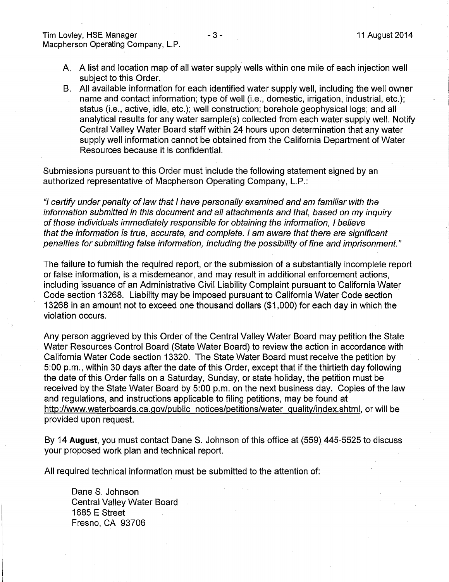- A. A list and location map of all water supply wells within one mile of each injection well subject to this Order.
- B. All available information for each identified water supply well, including the well owner name and contact information; type of well (i.e., domestic, irrigation, industrial, etc.); status (i.e., active, idle, etc.); well construction; borehole geophysical logs; and all analytical results for any water sample(s) collected from each water supply well. Notify Central Valley Water Board staff within 24 hours upon determination that any water supply well information cannot be obtained from the California Department of Water Resources because it is confidential.

Submissions pursuant to this Order must include the following statement signed by an authorized representative of Macpherson Operating Company, L.P.:

"I certify under penalty of law that I have personally examined and am familiar with the information submitted in this document and all attachments and that, based on my inquiry of those individuals immediately responsible for obtaining the information, I believe that the information is true, accurate, and complete. I am aware that there are significant penalties for submitting false information, including the possibility of fine and imprisonment."

The failure to furnish the required report, or the submission of a substantially incomplete report or false information, is a misdemeanor, and may result in additional enforcement actions, including issuance of an Administrative Civil Liability Complaint pursuant to California Water Code section 13268. Liability may be imposed pursuant to California Water Code section 13268 in an amount not to exceed one thousand dollars (\$1 ,000) for each day in which the violation occurs.

Any person aggrieved by this Order of the Central Valley Water Board may petition the State Water Resources Control Board (State Water Board) to review the action in accordance with California Water Code section 13320. The State Water Board must receive the petition by 5:00 p.m., within 30 days after the date of this Order, except that if the thirtieth day following the date of this Order falls on a Saturday, Sunday, or state holiday, the petition must be received by the State Water Board by 5:00 p.m. on the next business day. Copies of the law and regulations, and instructions applicable to filing petitions, may be found at http://www.waterboards.ca.gov/public notices/petitions/water guality/index.shtml, or will be provided upon request.

By 14 **August,** you must contact DaneS. Johnson of this office at (559} 445-5525 to discuss your proposed work plan and technical report.

All required technical information must be submitted to the attention of:

Dane S. Johnson Central Valley Water Board 1685 E Street Fresno, CA 93706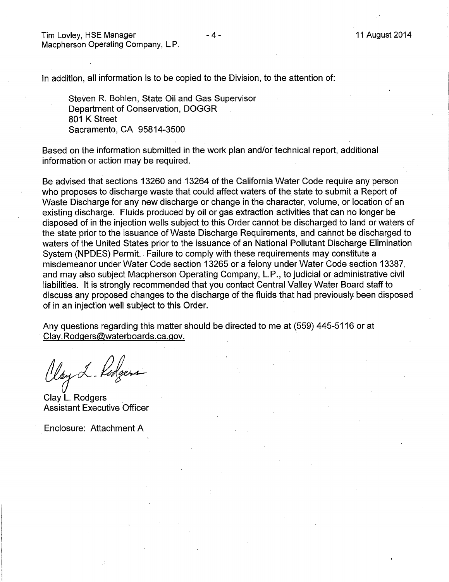Tim Lovley, HSE Manager Macpherson Operating Company, L.P.

In addition, all information is to be copied to the Division, to the attention of:

Steven R. Bohlen, State Oil and Gas Supervisor Department of Conservation, DOGGR 801 K Street Sacramento, CA 95814-3500

Based on the information submitted in the work plan and/or technical report, additional information or action may be required.

Be advised that sections 13260 and 13264 of the California Water Code require any person who proposes to discharge waste that could affect waters of the state to submit a Report of Waste Discharge for any new discharge or change in the character, volume, or location of an existing discharge. Fluids produced by oil or gas extraction activities that can no longer be disposed of in the injection wells subject to this Order cannot be discharged to land or waters of the state prior to the issuance of Waste Discharge Requirements, and cannot be discharged to waters of the United States prior to the issuance of an National Pollutant Discharge Elimination System (NPDES) Permit. Failure to comply with these requirements may constitute a misdemeanor under Water Code section 13265 or a felony under Water Code section 13387, and may also subject Macpherson Operating Company, L.P., to judicial or administrative civil liabilities. It is strongly recommended that you contact Central Valley Water Board staff to discuss any proposed changes to the discharge of the fluids that had previously been disposed of in an injection well subject to this Order.

Any questions regarding this matter should be directed to me at (559) 445-5116 or at · Clay.Rodgers@waterboards.ca.gov.

Clay L. Kodgers

Clay L. Rodgers Assistant Executive Officer

Enclosure: Attachment A